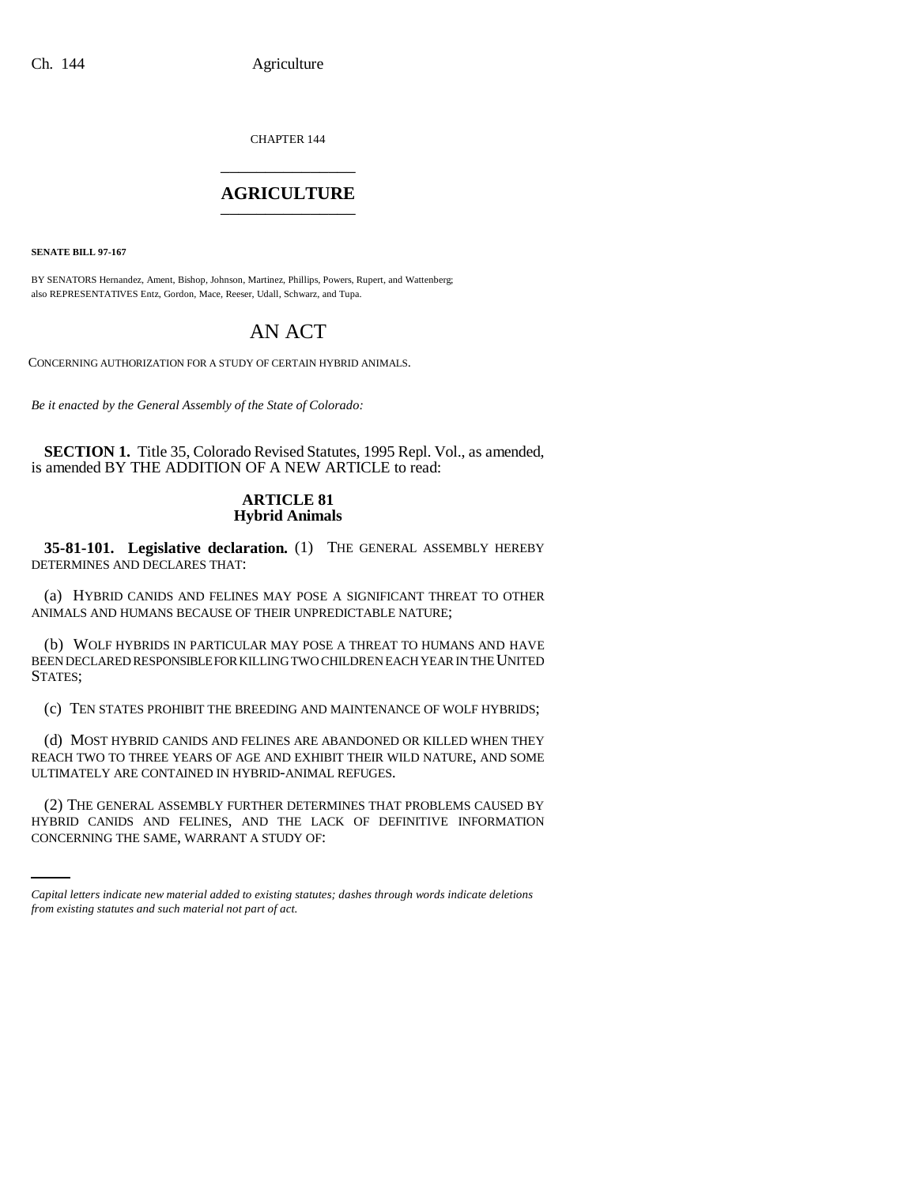CHAPTER 144 \_\_\_\_\_\_\_\_\_\_\_\_\_\_\_

## **AGRICULTURE** \_\_\_\_\_\_\_\_\_\_\_\_\_\_\_

**SENATE BILL 97-167**

BY SENATORS Hernandez, Ament, Bishop, Johnson, Martinez, Phillips, Powers, Rupert, and Wattenberg; also REPRESENTATIVES Entz, Gordon, Mace, Reeser, Udall, Schwarz, and Tupa.

## AN ACT

CONCERNING AUTHORIZATION FOR A STUDY OF CERTAIN HYBRID ANIMALS.

*Be it enacted by the General Assembly of the State of Colorado:*

**SECTION 1.** Title 35, Colorado Revised Statutes, 1995 Repl. Vol., as amended, is amended BY THE ADDITION OF A NEW ARTICLE to read:

## **ARTICLE 81 Hybrid Animals**

**35-81-101. Legislative declaration.** (1) THE GENERAL ASSEMBLY HEREBY DETERMINES AND DECLARES THAT:

(a) HYBRID CANIDS AND FELINES MAY POSE A SIGNIFICANT THREAT TO OTHER ANIMALS AND HUMANS BECAUSE OF THEIR UNPREDICTABLE NATURE;

(b) WOLF HYBRIDS IN PARTICULAR MAY POSE A THREAT TO HUMANS AND HAVE BEEN DECLARED RESPONSIBLE FOR KILLING TWO CHILDREN EACH YEAR IN THE UNITED STATES;

(c) TEN STATES PROHIBIT THE BREEDING AND MAINTENANCE OF WOLF HYBRIDS;

(d) MOST HYBRID CANIDS AND FELINES ARE ABANDONED OR KILLED WHEN THEY REACH TWO TO THREE YEARS OF AGE AND EXHIBIT THEIR WILD NATURE, AND SOME ULTIMATELY ARE CONTAINED IN HYBRID-ANIMAL REFUGES.

(2) THE GENERAL ASSEMBLY FURTHER DETERMINES THAT PROBLEMS CAUSED BY HYBRID CANIDS AND FELINES, AND THE LACK OF DEFINITIVE INFORMATION CONCERNING THE SAME, WARRANT A STUDY OF:

*Capital letters indicate new material added to existing statutes; dashes through words indicate deletions from existing statutes and such material not part of act.*